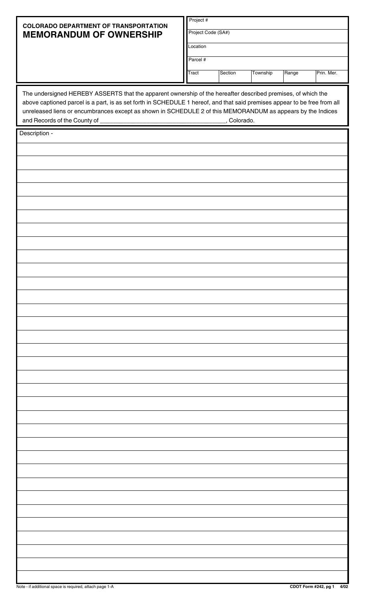|                                                                                                                                                                                                                                                                                                                                                                                            | Project #          |              |          |       |            |  |  |  |  |  |  |
|--------------------------------------------------------------------------------------------------------------------------------------------------------------------------------------------------------------------------------------------------------------------------------------------------------------------------------------------------------------------------------------------|--------------------|--------------|----------|-------|------------|--|--|--|--|--|--|
| <b>COLORADO DEPARTMENT OF TRANSPORTATION</b><br><b>MEMORANDUM OF OWNERSHIP</b>                                                                                                                                                                                                                                                                                                             | Project Code (SA#) |              |          |       |            |  |  |  |  |  |  |
|                                                                                                                                                                                                                                                                                                                                                                                            | Location           |              |          |       |            |  |  |  |  |  |  |
|                                                                                                                                                                                                                                                                                                                                                                                            | Parcel #           |              |          |       |            |  |  |  |  |  |  |
|                                                                                                                                                                                                                                                                                                                                                                                            | Tract              | Section      | Township | Range | Prin. Mer. |  |  |  |  |  |  |
| The undersigned HEREBY ASSERTS that the apparent ownership of the hereafter described premises, of which the<br>above captioned parcel is a part, is as set forth in SCHEDULE 1 hereof, and that said premises appear to be free from all<br>unreleased liens or encumbrances except as shown in SCHEDULE 2 of this MEMORANDUM as appears by the Indices<br>and Records of the County of _ |                    | _, Colorado. |          |       |            |  |  |  |  |  |  |
| Description -                                                                                                                                                                                                                                                                                                                                                                              |                    |              |          |       |            |  |  |  |  |  |  |
|                                                                                                                                                                                                                                                                                                                                                                                            |                    |              |          |       |            |  |  |  |  |  |  |
|                                                                                                                                                                                                                                                                                                                                                                                            |                    |              |          |       |            |  |  |  |  |  |  |
|                                                                                                                                                                                                                                                                                                                                                                                            |                    |              |          |       |            |  |  |  |  |  |  |
|                                                                                                                                                                                                                                                                                                                                                                                            |                    |              |          |       |            |  |  |  |  |  |  |
|                                                                                                                                                                                                                                                                                                                                                                                            |                    |              |          |       |            |  |  |  |  |  |  |
|                                                                                                                                                                                                                                                                                                                                                                                            |                    |              |          |       |            |  |  |  |  |  |  |
|                                                                                                                                                                                                                                                                                                                                                                                            |                    |              |          |       |            |  |  |  |  |  |  |
|                                                                                                                                                                                                                                                                                                                                                                                            |                    |              |          |       |            |  |  |  |  |  |  |
|                                                                                                                                                                                                                                                                                                                                                                                            |                    |              |          |       |            |  |  |  |  |  |  |
|                                                                                                                                                                                                                                                                                                                                                                                            |                    |              |          |       |            |  |  |  |  |  |  |
|                                                                                                                                                                                                                                                                                                                                                                                            |                    |              |          |       |            |  |  |  |  |  |  |
|                                                                                                                                                                                                                                                                                                                                                                                            |                    |              |          |       |            |  |  |  |  |  |  |
|                                                                                                                                                                                                                                                                                                                                                                                            |                    |              |          |       |            |  |  |  |  |  |  |
|                                                                                                                                                                                                                                                                                                                                                                                            |                    |              |          |       |            |  |  |  |  |  |  |
|                                                                                                                                                                                                                                                                                                                                                                                            |                    |              |          |       |            |  |  |  |  |  |  |
|                                                                                                                                                                                                                                                                                                                                                                                            |                    |              |          |       |            |  |  |  |  |  |  |
|                                                                                                                                                                                                                                                                                                                                                                                            |                    |              |          |       |            |  |  |  |  |  |  |
|                                                                                                                                                                                                                                                                                                                                                                                            |                    |              |          |       |            |  |  |  |  |  |  |
|                                                                                                                                                                                                                                                                                                                                                                                            |                    |              |          |       |            |  |  |  |  |  |  |
|                                                                                                                                                                                                                                                                                                                                                                                            |                    |              |          |       |            |  |  |  |  |  |  |
|                                                                                                                                                                                                                                                                                                                                                                                            |                    |              |          |       |            |  |  |  |  |  |  |
|                                                                                                                                                                                                                                                                                                                                                                                            |                    |              |          |       |            |  |  |  |  |  |  |
|                                                                                                                                                                                                                                                                                                                                                                                            |                    |              |          |       |            |  |  |  |  |  |  |
|                                                                                                                                                                                                                                                                                                                                                                                            |                    |              |          |       |            |  |  |  |  |  |  |
|                                                                                                                                                                                                                                                                                                                                                                                            |                    |              |          |       |            |  |  |  |  |  |  |
|                                                                                                                                                                                                                                                                                                                                                                                            |                    |              |          |       |            |  |  |  |  |  |  |
|                                                                                                                                                                                                                                                                                                                                                                                            |                    |              |          |       |            |  |  |  |  |  |  |
|                                                                                                                                                                                                                                                                                                                                                                                            |                    |              |          |       |            |  |  |  |  |  |  |
|                                                                                                                                                                                                                                                                                                                                                                                            |                    |              |          |       |            |  |  |  |  |  |  |
|                                                                                                                                                                                                                                                                                                                                                                                            |                    |              |          |       |            |  |  |  |  |  |  |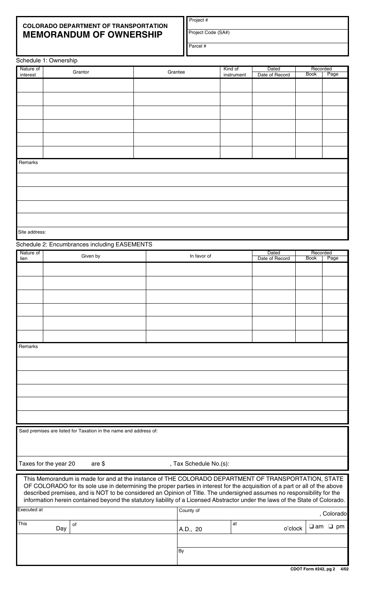## **COLORADO DEPARTMENT OF TRANSPORTATION MEMORANDUM OF OWNERSHIP**

Project #

Project Code (SA#)

| arcei |  |
|-------|--|
|       |  |

|                    | Schedule 1: Ownership                                                                                                                                                                                                                                   |         |                        |            |                |             |                     |  |
|--------------------|---------------------------------------------------------------------------------------------------------------------------------------------------------------------------------------------------------------------------------------------------------|---------|------------------------|------------|----------------|-------------|---------------------|--|
| Nature of          | Grantor                                                                                                                                                                                                                                                 | Grantee |                        | Kind of    | Dated          | Recorded    |                     |  |
| interest           |                                                                                                                                                                                                                                                         |         |                        | instrument | Date of Record | <b>Book</b> | Page                |  |
|                    |                                                                                                                                                                                                                                                         |         |                        |            |                |             |                     |  |
|                    |                                                                                                                                                                                                                                                         |         |                        |            |                |             |                     |  |
|                    |                                                                                                                                                                                                                                                         |         |                        |            |                |             |                     |  |
|                    |                                                                                                                                                                                                                                                         |         |                        |            |                |             |                     |  |
|                    |                                                                                                                                                                                                                                                         |         |                        |            |                |             |                     |  |
|                    |                                                                                                                                                                                                                                                         |         |                        |            |                |             |                     |  |
|                    |                                                                                                                                                                                                                                                         |         |                        |            |                |             |                     |  |
|                    |                                                                                                                                                                                                                                                         |         |                        |            |                |             |                     |  |
| Remarks            |                                                                                                                                                                                                                                                         |         |                        |            |                |             |                     |  |
|                    |                                                                                                                                                                                                                                                         |         |                        |            |                |             |                     |  |
|                    |                                                                                                                                                                                                                                                         |         |                        |            |                |             |                     |  |
|                    |                                                                                                                                                                                                                                                         |         |                        |            |                |             |                     |  |
|                    |                                                                                                                                                                                                                                                         |         |                        |            |                |             |                     |  |
|                    |                                                                                                                                                                                                                                                         |         |                        |            |                |             |                     |  |
|                    |                                                                                                                                                                                                                                                         |         |                        |            |                |             |                     |  |
|                    |                                                                                                                                                                                                                                                         |         |                        |            |                |             |                     |  |
| Site address:      |                                                                                                                                                                                                                                                         |         |                        |            |                |             |                     |  |
|                    | Schedule 2: Encumbrances including EASEMENTS                                                                                                                                                                                                            |         |                        |            |                |             |                     |  |
| Nature of          | Given by                                                                                                                                                                                                                                                |         | In favor of            |            | Dated          | Recorded    |                     |  |
| lien               |                                                                                                                                                                                                                                                         |         |                        |            | Date of Record | <b>Book</b> | Page                |  |
|                    |                                                                                                                                                                                                                                                         |         |                        |            |                |             |                     |  |
|                    |                                                                                                                                                                                                                                                         |         |                        |            |                |             |                     |  |
|                    |                                                                                                                                                                                                                                                         |         |                        |            |                |             |                     |  |
|                    |                                                                                                                                                                                                                                                         |         |                        |            |                |             |                     |  |
|                    |                                                                                                                                                                                                                                                         |         |                        |            |                |             |                     |  |
|                    |                                                                                                                                                                                                                                                         |         |                        |            |                |             |                     |  |
|                    |                                                                                                                                                                                                                                                         |         |                        |            |                |             |                     |  |
|                    |                                                                                                                                                                                                                                                         |         |                        |            |                |             |                     |  |
| Remarks            |                                                                                                                                                                                                                                                         |         |                        |            |                |             |                     |  |
|                    |                                                                                                                                                                                                                                                         |         |                        |            |                |             |                     |  |
|                    |                                                                                                                                                                                                                                                         |         |                        |            |                |             |                     |  |
|                    |                                                                                                                                                                                                                                                         |         |                        |            |                |             |                     |  |
|                    |                                                                                                                                                                                                                                                         |         |                        |            |                |             |                     |  |
|                    |                                                                                                                                                                                                                                                         |         |                        |            |                |             |                     |  |
|                    |                                                                                                                                                                                                                                                         |         |                        |            |                |             |                     |  |
|                    |                                                                                                                                                                                                                                                         |         |                        |            |                |             |                     |  |
|                    |                                                                                                                                                                                                                                                         |         |                        |            |                |             |                     |  |
|                    |                                                                                                                                                                                                                                                         |         |                        |            |                |             |                     |  |
|                    | Said premises are listed for Taxation in the name and address of:                                                                                                                                                                                       |         |                        |            |                |             |                     |  |
|                    |                                                                                                                                                                                                                                                         |         |                        |            |                |             |                     |  |
|                    |                                                                                                                                                                                                                                                         |         |                        |            |                |             |                     |  |
|                    | Taxes for the year 20<br>are $$$                                                                                                                                                                                                                        |         | , Tax Schedule No.(s): |            |                |             |                     |  |
|                    |                                                                                                                                                                                                                                                         |         |                        |            |                |             |                     |  |
|                    | This Memorandum is made for and at the instance of THE COLORADO DEPARTMENT OF TRANSPORTATION, STATE                                                                                                                                                     |         |                        |            |                |             |                     |  |
|                    | OF COLORADO for its sole use in determining the proper parties in interest for the acquisition of a part or all of the above                                                                                                                            |         |                        |            |                |             |                     |  |
|                    | described premises, and is NOT to be considered an Opinion of Title. The undersigned assumes no responsibility for the<br>information herein contained beyond the statutory liability of a Licensed Abstractor under the laws of the State of Colorado. |         |                        |            |                |             |                     |  |
| <b>Executed at</b> |                                                                                                                                                                                                                                                         |         | County of              |            |                |             |                     |  |
|                    |                                                                                                                                                                                                                                                         |         |                        |            |                |             | , Colorado          |  |
| This               | of<br>Day                                                                                                                                                                                                                                               |         |                        | at         | o'clock        |             | $\Box$ am $\Box$ pm |  |
|                    |                                                                                                                                                                                                                                                         |         | A.D., 20               |            |                |             |                     |  |
|                    |                                                                                                                                                                                                                                                         |         |                        |            |                |             |                     |  |
|                    |                                                                                                                                                                                                                                                         | By      |                        |            |                |             |                     |  |